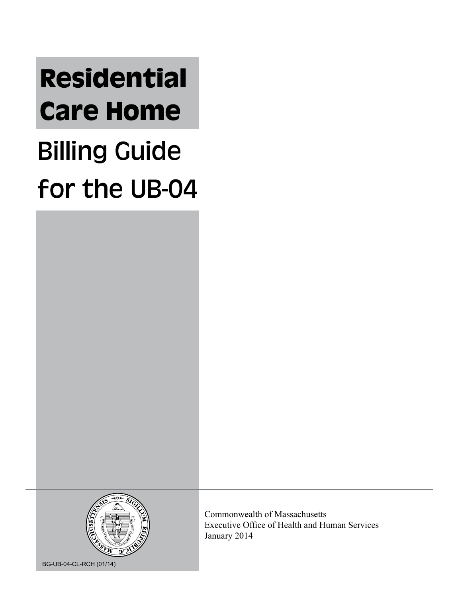# **Residential Care Home**

# Billing Guide for the UB-04



BG-UB-04-CL-RCH (01/14)

Commonwealth of Massachusetts Executive Office of Health and Human Services January 2014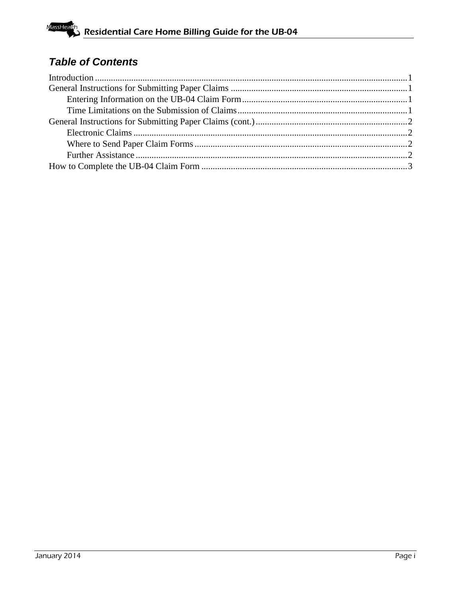# **Table of Contents**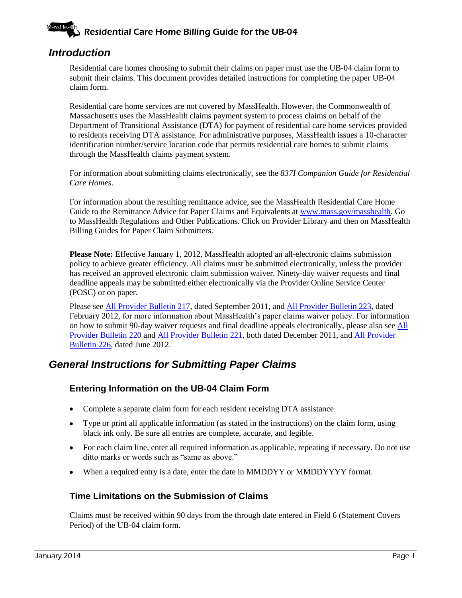### <span id="page-2-0"></span>*Introduction*

Residential care homes choosing to submit their claims on paper must use the UB-04 claim form to submit their claims. This document provides detailed instructions for completing the paper UB-04 claim form.

Residential care home services are not covered by MassHealth. However, the Commonwealth of Massachusetts uses the MassHealth claims payment system to process claims on behalf of the Department of Transitional Assistance (DTA) for payment of residential care home services provided to residents receiving DTA assistance. For administrative purposes, MassHealth issues a 10-character identification number/service location code that permits residential care homes to submit claims through the MassHealth claims payment system.

For information about submitting claims electronically, see the *837I Companion Guide for Residential Care Homes*.

For information about the resulting remittance advice, see the MassHealth Residential Care Home Guide to the Remittance Advice for Paper Claims and Equivalents at [www.mass.gov/masshealth.](http://www.mass.gov/masshealth) Go to MassHealth Regulations and Other Publications. Click on Provider Library and then on MassHealth Billing Guides for Paper Claim Submitters.

**Please Note:** Effective January 1, 2012, MassHealth adopted an all-electronic claims submission policy to achieve greater efficiency. All claims must be submitted electronically, unless the provider has received an approved electronic claim submission waiver. Ninety-day waiver requests and final deadline appeals may be submitted either electronically via the Provider Online Service Center (POSC) or on paper.

Please see [All Provider Bulletin 217,](http://www.mass.gov/eohhs/docs/masshealth/bull-2011/all-217.pdf) dated September 2011, and [All Provider Bulletin 223,](http://www.mass.gov/eohhs/docs/masshealth/bull-2012/all-223.pdf) dated February 2012, for more information about MassHealth's paper claims waiver policy. For information on how to submit 90-day waiver requests and final deadline appeals electronically, please also se[e All](http://www.mass.gov/eohhs/docs/masshealth/bull-2011/all-220.pdf)  [Provider Bulletin 220](http://www.mass.gov/eohhs/docs/masshealth/bull-2011/all-220.pdf) and [All Provider Bulletin 221,](http://www.mass.gov/eohhs/docs/masshealth/bull-2011/all-221.pdf) both dated December 2011, an[d All Provider](http://www.mass.gov/eohhs/docs/masshealth/bull-2012/all-226.pdf)  [Bulletin 226,](http://www.mass.gov/eohhs/docs/masshealth/bull-2012/all-226.pdf) dated June 2012.

## <span id="page-2-1"></span>*General Instructions for Submitting Paper Claims*

#### <span id="page-2-2"></span>**Entering Information on the UB-04 Claim Form**

- Complete a separate claim form for each resident receiving DTA assistance.
- Type or print all applicable information (as stated in the instructions) on the claim form, using black ink only. Be sure all entries are complete, accurate, and legible.
- For each claim line, enter all required information as applicable, repeating if necessary. Do not use ditto marks or words such as "same as above."
- When a required entry is a date, enter the date in MMDDYY or MMDDYYYY format.

#### <span id="page-2-3"></span>**Time Limitations on the Submission of Claims**

Claims must be received within 90 days from the through date entered in Field 6 (Statement Covers Period) of the UB-04 claim form.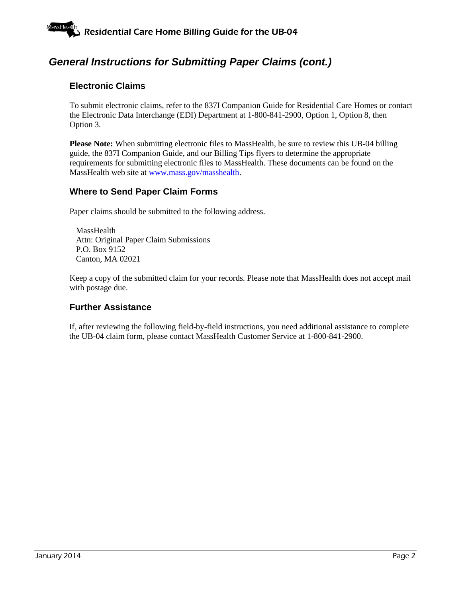## <span id="page-3-0"></span>*General Instructions for Submitting Paper Claims (cont.)*

#### <span id="page-3-1"></span>**Electronic Claims**

To submit electronic claims, refer to the 837I Companion Guide for Residential Care Homes or contact the Electronic Data Interchange (EDI) Department at 1-800-841-2900, Option 1, Option 8, then Option 3.

**Please Note:** When submitting electronic files to MassHealth, be sure to review this UB-04 billing guide, the 837I Companion Guide, and our Billing Tips flyers to determine the appropriate requirements for submitting electronic files to MassHealth. These documents can be found on the MassHealth web site at [www.mass.gov/masshealth.](http://www.mass.gov/masshealth)

#### <span id="page-3-2"></span>**Where to Send Paper Claim Forms**

Paper claims should be submitted to the following address.

MassHealth Attn: Original Paper Claim Submissions P.O. Box 9152 Canton, MA 02021

Keep a copy of the submitted claim for your records. Please note that MassHealth does not accept mail with postage due.

#### <span id="page-3-3"></span>**Further Assistance**

If, after reviewing the following field-by-field instructions, you need additional assistance to complete the UB-04 claim form, please contact MassHealth Customer Service at 1-800-841-2900.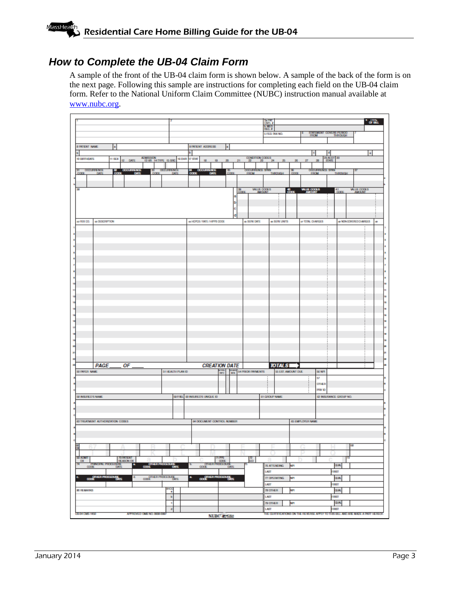### <span id="page-4-0"></span>*How to Complete the UB-04 Claim Form*

A sample of the front of the UB-04 claim form is shown below. A sample of the back of the form is on the next page. Following this sample are instructions for completing each field on the UB-04 claim form. Refer to the National Uniform Claim Committee (NUBC) instruction manual available at [www.nubc.org.](http://www.nubc.org/)

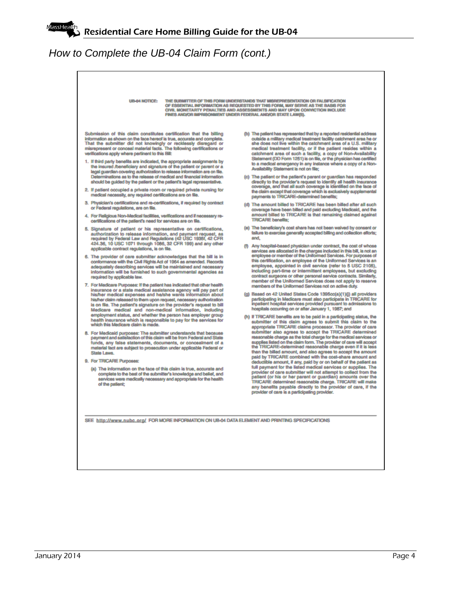**UR-M NOTICE:** THE SUBMITTER OF THIS FORM UNDERSTANDS THAT MISREPRESENTATION OR FALSIFICATION OF ESSENTIAL INFORMATION AS REQUESTED BY THIS FORM, MAY SERVE AS THE BASIS FOR FINES AND/OR IMPRISONMENT UNDER FEDERAL AND/OR STATE LAW(S) Submission of this claim constitutes certification that the billing (b) The patient has represented that by a reported residential address information as shown on the face hereof is true, accurate and complete.<br>That the submitter did not knowingly or recklessly disregard or misrepresent or conceal material facts. The following certifications or outside a military medical treatment facility catchment area he or<br>she does not live within the catchment area of a U.S. military medical treatment facility, or if the patient resides within a catchment area of such a facility, a copy of Non-Availability verifications apply where pertinent to this Bill: Statement (DD Form 1251) is on file, or the physician has certified 1. If third party benefits are indicated, the appropriate assignments by to a medical emergency in any instance where a copy of a Nonthe insured /beneficiary and signature of the patient or parent or a<br>legal guardian covering authorization to release information are on file. Availability Statement is not on file; (c) The patient or the patient's parent or guardian has responded directly to the provider's request to identify all health insurance coverage, and that all such ocverage is identified on the face of the claim except that Determinations as to the release of medical and financial information<br>should be guided by the patient or the patient's legal representative. 2. If patient occupied a private room or required private nursing for dical necessity, any required certifications are on file payments to TRICARE-determined benefits; 3. Physician's certifications and re-certifications, if required by contract (d) The amount billed to TRICARE has been billed after all such or Federal regulations, are on file. coverage have been billed and paid excluding Medicaid, and the amount billed to TRICARE is that remaining claimed against 4. For Religious Non-Medical facilities, verifications and if necessary recertifications of the patient's need for services are on file **TRICARE benefits:** (e) The beneficiary's cost share has not been waived by consent or failure to exercise generally accepted billing and collection efforts; 5. Signature of patient or his representative on certifications, authorization to release information, and payment request, as<br>required by Federal Law and Regulations (42 USC 1935f, 42 CFR<br>424.36, 10 USC 1071 through 1086, 32 CFR 199) and any other and. (f) Any hospital-based physician under contract, the cost of whose applicable contract regulations, is on file. services are allocated in the charges included in this bill, is not an employee or member of the Uniformed Services. For purposes of 6. The provider of care submitter acknowledges that the bill is in this certification, an employee of the Uniformed Services is an employee, appointed in civil service (refer to 5 USC 2105), conformance with the Civil Rights Act of 1964 as amended. Records adequately describing services will be maintained and necessary including part-time or intermittent employees, but excluding information will be furnished to such governmental agencies as required by applicable law. contract surgeons or other personal service contracts. Similarly, member of the Uniformed Services does not apply to reserve 7. For Medicare Purposes: If the patient has indicated that other health members of the Uniformed Services not on active duty. insurance or a state medical assistance agency will pay part of<br>his/her medical expenses and he/she wants information about (g) Based on 42 United States Code 1395cc(a)(1)(j) all providers business on we consume the participate in TRICARE for<br>participating in Medicare must also participate in TRICARE for<br>inpatient hospitals services provided pursuant to admissions to<br>hospitals occurring on or after January 1 his/her claim released to them upon request, necessary authorization<br>is on file. The patient's signature on the provider's request to bill Medicare medical and non-medical information, including<br>employment status, and whether the person has employer group (h) If TRICARE benefits are to be paid in a participating status, the health insurance which is responsible to pay for the services for<br>which this Medicare claim is made. submitter of this claim agrees to submit this claim to the<br>appropriate TRICARE claims processor. The provider of care submitter also agrees to accept the TRICARE determined<br>reasonable charge as the total charge for the medical services or 8. For Medicaid purposes: The submitter understands that because payment and satisfaction of this claim will be from Federal and State funds, any false statements, documents, or concealment of a supplies listed on the claim form. The provider of care will accept<br>the TRICARE-determined reasonable charge even if it is less material fact are subject to prosecution under applicable Federal or than the billed amount, and also agrees to accept the amount State Laws paid by TRICARE combined with the cost-share amount and 9. For TRICARE Purposes: deductible amount, if any, paid by or on behalf of the patient as<br>full payment for the listed medical services or supplies. The (a) The information on the face of this claim is true, accurate and provider of care submitter will not attempt to collect from the patient (or his or her parent or guardian) amounts over the complete to the best of the submitter's knowledge and belief, and<br>services were medically necessary and appropriate for the health TRICARE determined reasonable charge. TRICARE will make<br>any benefits payable directly to the provider of care, if the of the patient; provider of care is a participating provider. SEE http://www.nubc.org/ FOR MORE INFORMATION ON UB-04 DATA ELEMENT AND PRINTING SPECIFICATIONS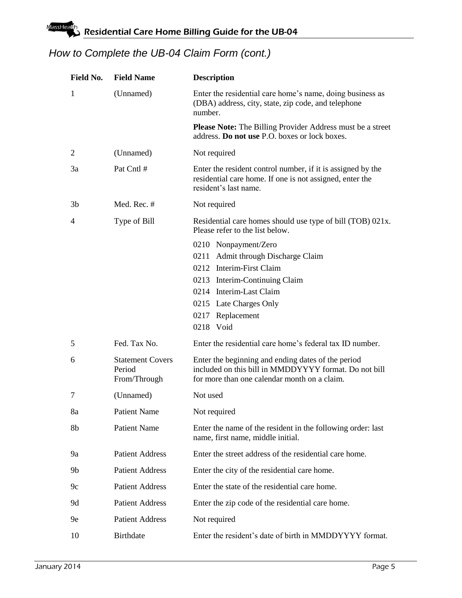| Field No.      | <b>Field Name</b>                                 | <b>Description</b>                                                                                                                                          |
|----------------|---------------------------------------------------|-------------------------------------------------------------------------------------------------------------------------------------------------------------|
| $\mathbf{1}$   | (Unnamed)                                         | Enter the residential care home's name, doing business as<br>(DBA) address, city, state, zip code, and telephone<br>number.                                 |
|                |                                                   | <b>Please Note:</b> The Billing Provider Address must be a street<br>address. <b>Do not use</b> P.O. boxes or lock boxes.                                   |
| 2              | (Unnamed)                                         | Not required                                                                                                                                                |
| 3a             | Pat Cntl #                                        | Enter the resident control number, if it is assigned by the<br>residential care home. If one is not assigned, enter the<br>resident's last name.            |
| 3 <sub>b</sub> | Med. Rec. #                                       | Not required                                                                                                                                                |
| 4              | Type of Bill                                      | Residential care homes should use type of bill (TOB) 021x.<br>Please refer to the list below.                                                               |
|                |                                                   | 0210 Nonpayment/Zero                                                                                                                                        |
|                |                                                   | 0211 Admit through Discharge Claim                                                                                                                          |
|                |                                                   | 0212 Interim-First Claim                                                                                                                                    |
|                |                                                   | 0213 Interim-Continuing Claim<br>0214 Interim-Last Claim                                                                                                    |
|                |                                                   | 0215 Late Charges Only                                                                                                                                      |
|                |                                                   | 0217 Replacement                                                                                                                                            |
|                |                                                   | 0218 Void                                                                                                                                                   |
| 5              | Fed. Tax No.                                      | Enter the residential care home's federal tax ID number.                                                                                                    |
| 6              | <b>Statement Covers</b><br>Period<br>From/Through | Enter the beginning and ending dates of the period<br>included on this bill in MMDDYYYY format. Do not bill<br>for more than one calendar month on a claim. |
| 7              | (Unnamed)                                         | Not used                                                                                                                                                    |
| 8a             | <b>Patient Name</b>                               | Not required                                                                                                                                                |
| 8b             | <b>Patient Name</b>                               | Enter the name of the resident in the following order: last<br>name, first name, middle initial.                                                            |
| 9a             | <b>Patient Address</b>                            | Enter the street address of the residential care home.                                                                                                      |
| 9b             | <b>Patient Address</b>                            | Enter the city of the residential care home.                                                                                                                |
| 9c             | <b>Patient Address</b>                            | Enter the state of the residential care home.                                                                                                               |
| 9d             | <b>Patient Address</b>                            | Enter the zip code of the residential care home.                                                                                                            |
| 9e             | <b>Patient Address</b>                            | Not required                                                                                                                                                |
| 10             | Birthdate                                         | Enter the resident's date of birth in MMDDYYYY format.                                                                                                      |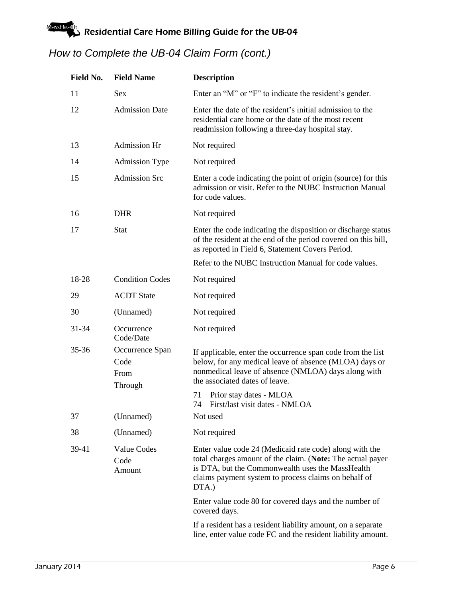| Field No. | <b>Field Name</b>                          | <b>Description</b>                                                                                                                                                                                                                         |
|-----------|--------------------------------------------|--------------------------------------------------------------------------------------------------------------------------------------------------------------------------------------------------------------------------------------------|
| 11        | <b>Sex</b>                                 | Enter an "M" or "F" to indicate the resident's gender.                                                                                                                                                                                     |
| 12        | <b>Admission Date</b>                      | Enter the date of the resident's initial admission to the<br>residential care home or the date of the most recent<br>readmission following a three-day hospital stay.                                                                      |
| 13        | <b>Admission Hr</b>                        | Not required                                                                                                                                                                                                                               |
| 14        | <b>Admission Type</b>                      | Not required                                                                                                                                                                                                                               |
| 15        | <b>Admission Src</b>                       | Enter a code indicating the point of origin (source) for this<br>admission or visit. Refer to the NUBC Instruction Manual<br>for code values.                                                                                              |
| 16        | <b>DHR</b>                                 | Not required                                                                                                                                                                                                                               |
| 17        | <b>Stat</b>                                | Enter the code indicating the disposition or discharge status<br>of the resident at the end of the period covered on this bill,<br>as reported in Field 6, Statement Covers Period.                                                        |
|           |                                            | Refer to the NUBC Instruction Manual for code values.                                                                                                                                                                                      |
| 18-28     | <b>Condition Codes</b>                     | Not required                                                                                                                                                                                                                               |
| 29        | <b>ACDT</b> State                          | Not required                                                                                                                                                                                                                               |
| 30        | (Unnamed)                                  | Not required                                                                                                                                                                                                                               |
| 31-34     | Occurrence<br>Code/Date                    | Not required                                                                                                                                                                                                                               |
| $35 - 36$ | Occurrence Span<br>Code<br>From<br>Through | If applicable, enter the occurrence span code from the list<br>below, for any medical leave of absence (MLOA) days or<br>nonmedical leave of absence (NMLOA) days along with<br>the associated dates of leave.                             |
|           |                                            | Prior stay dates - MLOA<br>71<br>First/last visit dates - NMLOA<br>74                                                                                                                                                                      |
| 37        | (Unnamed)                                  | Not used                                                                                                                                                                                                                                   |
| 38        | (Unnamed)                                  | Not required                                                                                                                                                                                                                               |
| 39-41     | <b>Value Codes</b><br>Code<br>Amount       | Enter value code 24 (Medicaid rate code) along with the<br>total charges amount of the claim. (Note: The actual payer<br>is DTA, but the Commonwealth uses the MassHealth<br>claims payment system to process claims on behalf of<br>DTA.) |
|           |                                            | Enter value code 80 for covered days and the number of<br>covered days.                                                                                                                                                                    |
|           |                                            | If a resident has a resident liability amount, on a separate<br>line, enter value code FC and the resident liability amount.                                                                                                               |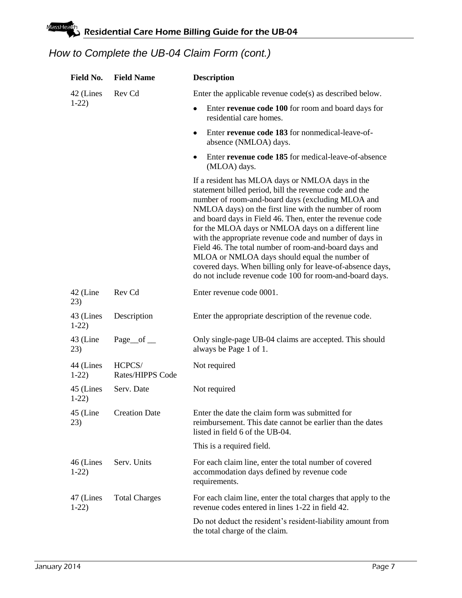| Field No.            | <b>Field Name</b>          | <b>Description</b>                                                                                                                                                                                                                                                                                                                                                                                                                                                                                                                                                                                                                         |
|----------------------|----------------------------|--------------------------------------------------------------------------------------------------------------------------------------------------------------------------------------------------------------------------------------------------------------------------------------------------------------------------------------------------------------------------------------------------------------------------------------------------------------------------------------------------------------------------------------------------------------------------------------------------------------------------------------------|
| 42 (Lines<br>$1-22)$ | Rev Cd                     | Enter the applicable revenue code(s) as described below.                                                                                                                                                                                                                                                                                                                                                                                                                                                                                                                                                                                   |
|                      |                            | Enter revenue code 100 for room and board days for<br>$\bullet$<br>residential care homes.                                                                                                                                                                                                                                                                                                                                                                                                                                                                                                                                                 |
|                      |                            | Enter revenue code 183 for nonmedical-leave-of-<br>٠<br>absence (NMLOA) days.                                                                                                                                                                                                                                                                                                                                                                                                                                                                                                                                                              |
|                      |                            | Enter revenue code 185 for medical-leave-of-absence<br>٠<br>(MLOA) days.                                                                                                                                                                                                                                                                                                                                                                                                                                                                                                                                                                   |
|                      |                            | If a resident has MLOA days or NMLOA days in the<br>statement billed period, bill the revenue code and the<br>number of room-and-board days (excluding MLOA and<br>NMLOA days) on the first line with the number of room<br>and board days in Field 46. Then, enter the revenue code<br>for the MLOA days or NMLOA days on a different line<br>with the appropriate revenue code and number of days in<br>Field 46. The total number of room-and-board days and<br>MLOA or NMLOA days should equal the number of<br>covered days. When billing only for leave-of-absence days,<br>do not include revenue code 100 for room-and-board days. |
| 42 (Line<br>23)      | Rev Cd                     | Enter revenue code 0001.                                                                                                                                                                                                                                                                                                                                                                                                                                                                                                                                                                                                                   |
| 43 (Lines<br>$1-22$  | Description                | Enter the appropriate description of the revenue code.                                                                                                                                                                                                                                                                                                                                                                                                                                                                                                                                                                                     |
| 43 (Line<br>23)      | Page_of $\_\_$             | Only single-page UB-04 claims are accepted. This should<br>always be Page 1 of 1.                                                                                                                                                                                                                                                                                                                                                                                                                                                                                                                                                          |
| 44 (Lines<br>$1-22$  | HCPCS/<br>Rates/HIPPS Code | Not required                                                                                                                                                                                                                                                                                                                                                                                                                                                                                                                                                                                                                               |
| 45 (Lines<br>$1-22)$ | Serv. Date                 | Not required                                                                                                                                                                                                                                                                                                                                                                                                                                                                                                                                                                                                                               |
| 45 (Line<br>23)      | <b>Creation Date</b>       | Enter the date the claim form was submitted for<br>reimbursement. This date cannot be earlier than the dates<br>listed in field 6 of the UB-04.                                                                                                                                                                                                                                                                                                                                                                                                                                                                                            |
|                      |                            | This is a required field.                                                                                                                                                                                                                                                                                                                                                                                                                                                                                                                                                                                                                  |
| 46 (Lines<br>$1-22)$ | Serv. Units                | For each claim line, enter the total number of covered<br>accommodation days defined by revenue code<br>requirements.                                                                                                                                                                                                                                                                                                                                                                                                                                                                                                                      |
| 47 (Lines<br>$1-22)$ | <b>Total Charges</b>       | For each claim line, enter the total charges that apply to the<br>revenue codes entered in lines 1-22 in field 42.                                                                                                                                                                                                                                                                                                                                                                                                                                                                                                                         |
|                      |                            | Do not deduct the resident's resident-liability amount from<br>the total charge of the claim.                                                                                                                                                                                                                                                                                                                                                                                                                                                                                                                                              |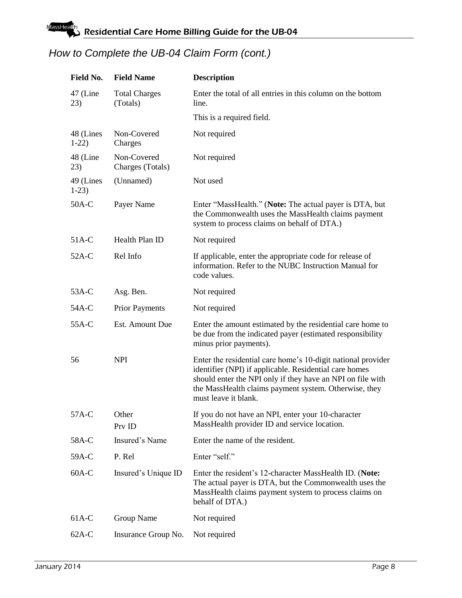| Field No.            | <b>Field Name</b>                | <b>Description</b>                                                                                                                                                                                                                                                    |
|----------------------|----------------------------------|-----------------------------------------------------------------------------------------------------------------------------------------------------------------------------------------------------------------------------------------------------------------------|
| 47 (Line<br>23)      | <b>Total Charges</b><br>(Totals) | Enter the total of all entries in this column on the bottom<br>line.                                                                                                                                                                                                  |
|                      |                                  | This is a required field.                                                                                                                                                                                                                                             |
| 48 (Lines<br>$1-22)$ | Non-Covered<br>Charges           | Not required                                                                                                                                                                                                                                                          |
| 48 (Line<br>23)      | Non-Covered<br>Charges (Totals)  | Not required                                                                                                                                                                                                                                                          |
| 49 (Lines<br>$1-23)$ | (Unnamed)                        | Not used                                                                                                                                                                                                                                                              |
| $50A-C$              | Payer Name                       | Enter "MassHealth." (Note: The actual payer is DTA, but<br>the Commonwealth uses the MassHealth claims payment<br>system to process claims on behalf of DTA.)                                                                                                         |
| $51A-C$              | Health Plan ID                   | Not required                                                                                                                                                                                                                                                          |
| $52A-C$              | Rel Info                         | If applicable, enter the appropriate code for release of<br>information. Refer to the NUBC Instruction Manual for<br>code values.                                                                                                                                     |
| $53A-C$              | Asg. Ben.                        | Not required                                                                                                                                                                                                                                                          |
| 54A-C                | <b>Prior Payments</b>            | Not required                                                                                                                                                                                                                                                          |
| 55A-C                | Est. Amount Due                  | Enter the amount estimated by the residential care home to<br>be due from the indicated payer (estimated responsibility<br>minus prior payments).                                                                                                                     |
| 56                   | <b>NPI</b>                       | Enter the residential care home's 10-digit national provider<br>identifier (NPI) if applicable. Residential care homes<br>should enter the NPI only if they have an NPI on file with<br>the MassHealth claims payment system. Otherwise, they<br>must leave it blank. |
| 57A-C                | Other<br>Prv ID                  | If you do not have an NPI, enter your 10-character<br>MassHealth provider ID and service location.                                                                                                                                                                    |
| 58A-C                | Insured's Name                   | Enter the name of the resident.                                                                                                                                                                                                                                       |
| 59A-C                | P. Rel                           | Enter "self."                                                                                                                                                                                                                                                         |
| $60A-C$              | Insured's Unique ID              | Enter the resident's 12-character MassHealth ID. (Note:<br>The actual payer is DTA, but the Commonwealth uses the<br>MassHealth claims payment system to process claims on<br>behalf of DTA.)                                                                         |
| $61A-C$              | Group Name                       | Not required                                                                                                                                                                                                                                                          |
| $62A-C$              | Insurance Group No.              | Not required                                                                                                                                                                                                                                                          |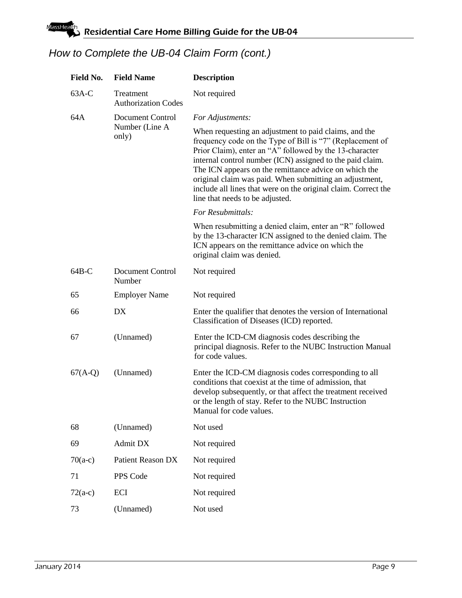| Field No.    | <b>Field Name</b>                       | <b>Description</b>                                                                                                                                                                                                                                                                                                                                                                                                                                                  |
|--------------|-----------------------------------------|---------------------------------------------------------------------------------------------------------------------------------------------------------------------------------------------------------------------------------------------------------------------------------------------------------------------------------------------------------------------------------------------------------------------------------------------------------------------|
| $63A-C$      | Treatment<br><b>Authorization Codes</b> | Not required                                                                                                                                                                                                                                                                                                                                                                                                                                                        |
| 64A<br>only) | <b>Document Control</b>                 | For Adjustments:                                                                                                                                                                                                                                                                                                                                                                                                                                                    |
|              | Number (Line A                          | When requesting an adjustment to paid claims, and the<br>frequency code on the Type of Bill is "7" (Replacement of<br>Prior Claim), enter an "A" followed by the 13-character<br>internal control number (ICN) assigned to the paid claim.<br>The ICN appears on the remittance advice on which the<br>original claim was paid. When submitting an adjustment,<br>include all lines that were on the original claim. Correct the<br>line that needs to be adjusted. |
|              |                                         | For Resubmittals:                                                                                                                                                                                                                                                                                                                                                                                                                                                   |
|              |                                         | When resubmitting a denied claim, enter an "R" followed<br>by the 13-character ICN assigned to the denied claim. The<br>ICN appears on the remittance advice on which the<br>original claim was denied.                                                                                                                                                                                                                                                             |
| $64B-C$      | Document Control<br>Number              | Not required                                                                                                                                                                                                                                                                                                                                                                                                                                                        |
| 65           | <b>Employer Name</b>                    | Not required                                                                                                                                                                                                                                                                                                                                                                                                                                                        |
| 66           | DX                                      | Enter the qualifier that denotes the version of International<br>Classification of Diseases (ICD) reported.                                                                                                                                                                                                                                                                                                                                                         |
| 67           | (Unnamed)                               | Enter the ICD-CM diagnosis codes describing the<br>principal diagnosis. Refer to the NUBC Instruction Manual<br>for code values.                                                                                                                                                                                                                                                                                                                                    |
| $67(A-Q)$    | (Unnamed)                               | Enter the ICD-CM diagnosis codes corresponding to all<br>conditions that coexist at the time of admission, that<br>develop subsequently, or that affect the treatment received<br>or the length of stay. Refer to the NUBC Instruction<br>Manual for code values.                                                                                                                                                                                                   |
| 68           | (Unnamed)                               | Not used                                                                                                                                                                                                                                                                                                                                                                                                                                                            |
| 69           | Admit DX                                | Not required                                                                                                                                                                                                                                                                                                                                                                                                                                                        |
| $70(a-c)$    | <b>Patient Reason DX</b>                | Not required                                                                                                                                                                                                                                                                                                                                                                                                                                                        |
| 71           | PPS Code                                | Not required                                                                                                                                                                                                                                                                                                                                                                                                                                                        |
| $72(a-c)$    | ECI                                     | Not required                                                                                                                                                                                                                                                                                                                                                                                                                                                        |
| 73           | (Unnamed)                               | Not used                                                                                                                                                                                                                                                                                                                                                                                                                                                            |